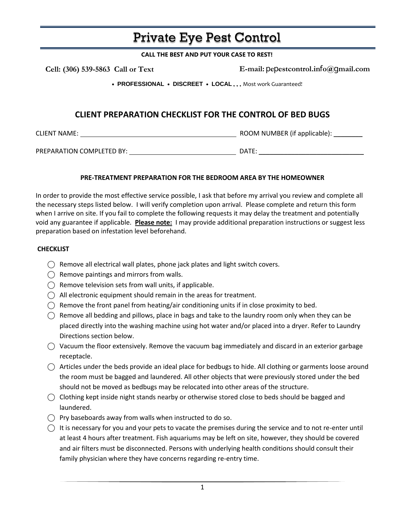# Private Eye Pest Control

#### **CALL THE BEST AND PUT YOUR CASE TO REST!**

 **Cell: (306) 539-5863 Call or Text** 

**E-mail:** p**e**p**estcontrol.in**f**o@**g**mail.com**

• **PROFESSIONAL** • **DISCREET** • **LOCAL** . . . Most work Guaranteed!

## **CLIENT PREPARATION CHECKLIST FOR THE CONTROL OF BED BUGS**

CLIENT NAME: ROOM NUMBER (if applicable): \_\_\_\_\_\_\_\_

PREPARATION COMPLETED BY: DATE:

### **PRE-TREATMENT PREPARATION FOR THE BEDROOM AREA BY THE HOMEOWNER**

In order to provide the most effective service possible, I ask that before my arrival you review and complete all the necessary steps listed below. I will verify completion upon arrival. Please complete and return this form when I arrive on site. If you fail to complete the following requests it may delay the treatment and potentially void any guarantee if applicable. **Please note:** I may provide additional preparation instructions or suggest less preparation based on infestation level beforehand.

### **CHECKLIST**

- $\bigcirc$  Remove all electrical wall plates, phone jack plates and light switch covers.
- $\bigcap$  Remove paintings and mirrors from walls.
- $\bigcap$  Remove television sets from wall units, if applicable.
- $\bigcirc$  All electronic equipment should remain in the areas for treatment.
- $\bigcirc$  Remove the front panel from heating/air conditioning units if in close proximity to bed.
- $\bigcirc$  Remove all bedding and pillows, place in bags and take to the laundry room only when they can be placed directly into the washing machine using hot water and/or placed into a dryer. Refer to Laundry Directions section below.
- $\bigcirc$  Vacuum the floor extensively. Remove the vacuum bag immediately and discard in an exterior garbage receptacle.
- $\bigcirc$  Articles under the beds provide an ideal place for bedbugs to hide. All clothing or garments loose around the room must be bagged and laundered. All other objects that were previously stored under the bed should not be moved as bedbugs may be relocated into other areas of the structure.
- $\bigcirc$  Clothing kept inside night stands nearby or otherwise stored close to beds should be bagged and laundered.
- $\bigcirc$  Pry baseboards away from walls when instructed to do so.
- $\bigcap$  It is necessary for you and your pets to vacate the premises during the service and to not re-enter until at least 4 hours after treatment. Fish aquariums may be left on site, however, they should be covered and air filters must be disconnected. Persons with underlying health conditions should consult their family physician where they have concerns regarding re-entry time.